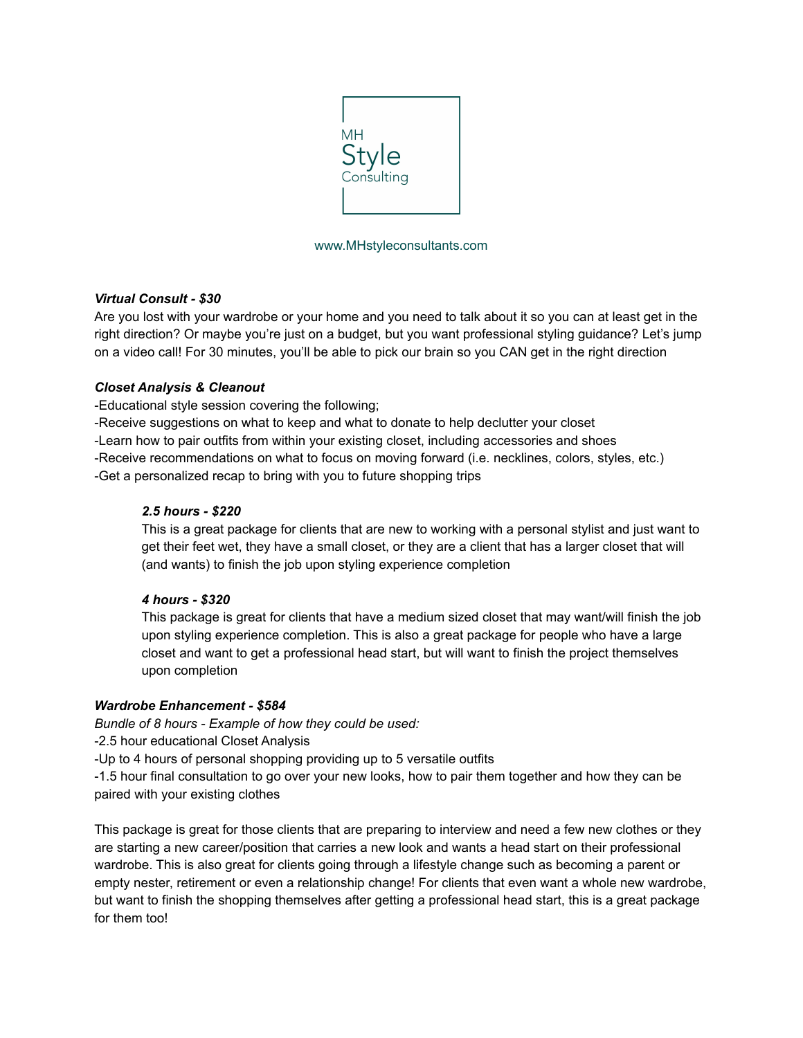

### www.MHstyleconsultants.com

### *Virtual Consult - \$30*

Are you lost with your wardrobe or your home and you need to talk about it so you can at least get in the right direction? Or maybe you're just on a budget, but you want professional styling guidance? Let's jump on a video call! For 30 minutes, you'll be able to pick our brain so you CAN get in the right direction

# *Closet Analysis & Cleanout*

-Educational style session covering the following;

-Receive suggestions on what to keep and what to donate to help declutter your closet

-Learn how to pair outfits from within your existing closet, including accessories and shoes

-Receive recommendations on what to focus on moving forward (i.e. necklines, colors, styles, etc.)

-Get a personalized recap to bring with you to future shopping trips

# *2.5 hours - \$220*

This is a great package for clients that are new to working with a personal stylist and just want to get their feet wet, they have a small closet, or they are a client that has a larger closet that will (and wants) to finish the job upon styling experience completion

### *4 hours - \$320*

This package is great for clients that have a medium sized closet that may want/will finish the job upon styling experience completion. This is also a great package for people who have a large closet and want to get a professional head start, but will want to finish the project themselves upon completion

### *Wardrobe Enhancement - \$584*

*Bundle of 8 hours - Example of how they could be used:*

-2.5 hour educational Closet Analysis

-Up to 4 hours of personal shopping providing up to 5 versatile outfits

-1.5 hour final consultation to go over your new looks, how to pair them together and how they can be paired with your existing clothes

This package is great for those clients that are preparing to interview and need a few new clothes or they are starting a new career/position that carries a new look and wants a head start on their professional wardrobe. This is also great for clients going through a lifestyle change such as becoming a parent or empty nester, retirement or even a relationship change! For clients that even want a whole new wardrobe, but want to finish the shopping themselves after getting a professional head start, this is a great package for them too!